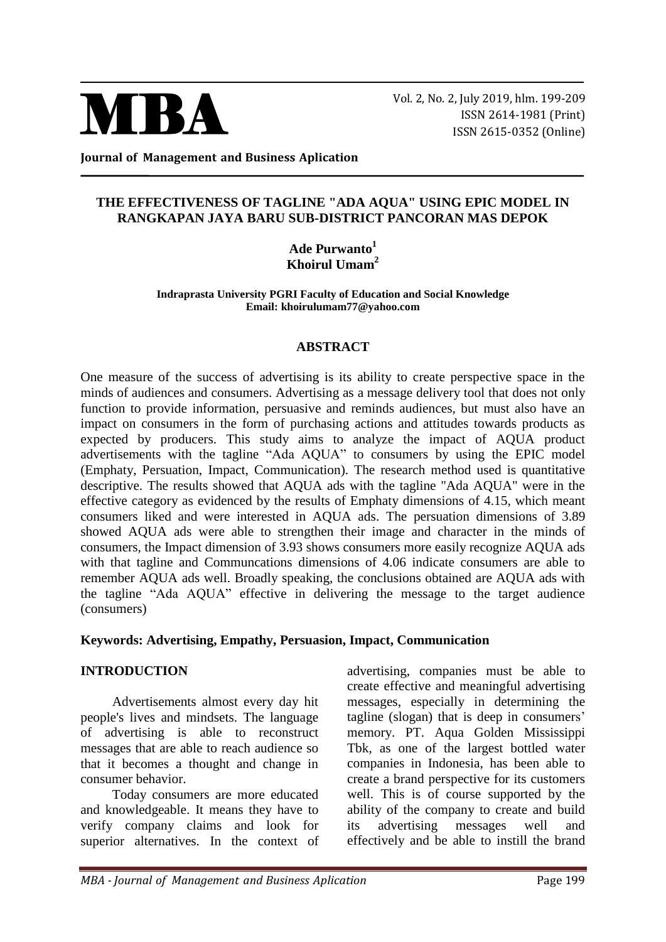

Vol. 2, No. 2, July 2019, hlm. 199-209 ISSN 2614-1981 (Print) ISSN 2615-0352 (Online)

**Journal of Management and Business Aplication**

### **THE EFFECTIVENESS OF TAGLINE "ADA AQUA" USING EPIC MODEL IN RANGKAPAN JAYA BARU SUB-DISTRICT PANCORAN MAS DEPOK**

**Ade Purwanto<sup>1</sup> Khoirul Umam<sup>2</sup>**

**Indraprasta University PGRI Faculty of Education and Social Knowledge Email: khoirulumam77@yahoo.com**

### **ABSTRACT**

One measure of the success of advertising is its ability to create perspective space in the minds of audiences and consumers. Advertising as a message delivery tool that does not only function to provide information, persuasive and reminds audiences, but must also have an impact on consumers in the form of purchasing actions and attitudes towards products as expected by producers. This study aims to analyze the impact of AQUA product advertisements with the tagline "Ada AQUA" to consumers by using the EPIC model (Emphaty, Persuation, Impact, Communication). The research method used is quantitative descriptive. The results showed that AQUA ads with the tagline "Ada AQUA" were in the effective category as evidenced by the results of Emphaty dimensions of 4.15, which meant consumers liked and were interested in AQUA ads. The persuation dimensions of 3.89 showed AQUA ads were able to strengthen their image and character in the minds of consumers, the Impact dimension of 3.93 shows consumers more easily recognize AQUA ads with that tagline and Communcations dimensions of 4.06 indicate consumers are able to remember AQUA ads well. Broadly speaking, the conclusions obtained are AQUA ads with the tagline "Ada AQUA" effective in delivering the message to the target audience (consumers)

### **Keywords: Advertising, Empathy, Persuasion, Impact, Communication**

## **INTRODUCTION**

Advertisements almost every day hit people's lives and mindsets. The language of advertising is able to reconstruct messages that are able to reach audience so that it becomes a thought and change in consumer behavior.

Today consumers are more educated and knowledgeable. It means they have to verify company claims and look for superior alternatives. In the context of advertising, companies must be able to create effective and meaningful advertising messages, especially in determining the tagline (slogan) that is deep in consumers' memory. PT. Aqua Golden Mississippi Tbk, as one of the largest bottled water companies in Indonesia, has been able to create a brand perspective for its customers well. This is of course supported by the ability of the company to create and build its advertising messages well and effectively and be able to instill the brand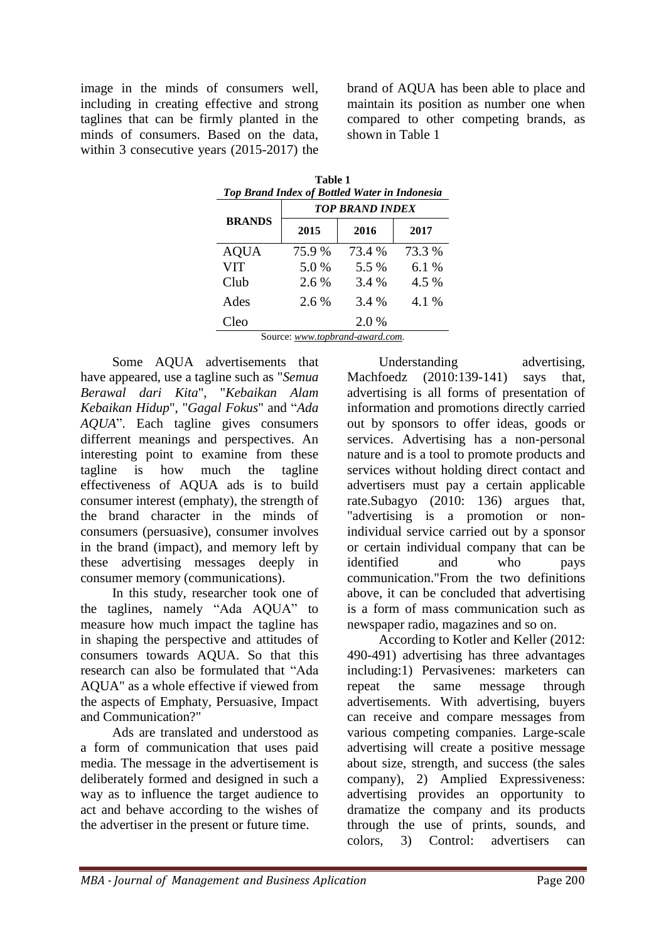image in the minds of consumers well, including in creating effective and strong taglines that can be firmly planted in the minds of consumers. Based on the data, within 3 consecutive years (2015-2017) the brand of AQUA has been able to place and maintain its position as number one when compared to other competing brands, as shown in Table 1

| Table 1<br>Top Brand Index of Bottled Water in Indonesia |         |                        |        |  |  |
|----------------------------------------------------------|---------|------------------------|--------|--|--|
|                                                          |         | <b>TOP BRAND INDEX</b> |        |  |  |
| <b>BRANDS</b>                                            | 2015    | 2016                   | 2017   |  |  |
| <b>AQUA</b>                                              | 75.9 %  | 73.4 %                 | 73.3 % |  |  |
| <b>VIT</b>                                               | 5.0 %   | 5.5 %                  | 6.1 %  |  |  |
| Club                                                     | 2.6 %   | 3.4 %                  | 4.5 %  |  |  |
| Ades                                                     | $2.6\%$ | 3.4 %                  | 4.1 %  |  |  |
| Cleo<br>$\sim$                                           |         | 2.0 %                  |        |  |  |

Source: *[www.topbrand-award.com.](http://www.topbrand-award.com/)*

Some AQUA advertisements that have appeared, use a tagline such as "*Semua Berawal dari Kita*", "*Kebaikan Alam Kebaikan Hidup*", "*Gagal Fokus*" and "*Ada AQUA*". Each tagline gives consumers differrent meanings and perspectives. An interesting point to examine from these tagline is how much the tagline effectiveness of AQUA ads is to build consumer interest (emphaty), the strength of the brand character in the minds of consumers (persuasive), consumer involves in the brand (impact), and memory left by these advertising messages deeply in consumer memory (communications).

In this study, researcher took one of the taglines, namely "Ada AQUA" to measure how much impact the tagline has in shaping the perspective and attitudes of consumers towards AQUA. So that this research can also be formulated that "Ada AQUA" as a whole effective if viewed from the aspects of Emphaty, Persuasive, Impact and Communication?"

Ads are translated and understood as a form of communication that uses paid media. The message in the advertisement is deliberately formed and designed in such a way as to influence the target audience to act and behave according to the wishes of the advertiser in the present or future time.

Understanding advertising, Machfoedz (2010:139-141) says that, advertising is all forms of presentation of information and promotions directly carried out by sponsors to offer ideas, goods or services. Advertising has a non-personal nature and is a tool to promote products and services without holding direct contact and advertisers must pay a certain applicable rate.Subagyo (2010: 136) argues that, "advertising is a promotion or nonindividual service carried out by a sponsor or certain individual company that can be identified and who pays communication."From the two definitions above, it can be concluded that advertising is a form of mass communication such as newspaper radio, magazines and so on.

According to Kotler and Keller (2012: 490-491) advertising has three advantages including:1) Pervasivenes: marketers can repeat the same message through advertisements. With advertising, buyers can receive and compare messages from various competing companies. Large-scale advertising will create a positive message about size, strength, and success (the sales company), 2) Amplied Expressiveness: advertising provides an opportunity to dramatize the company and its products through the use of prints, sounds, and colors, 3) Control: advertisers can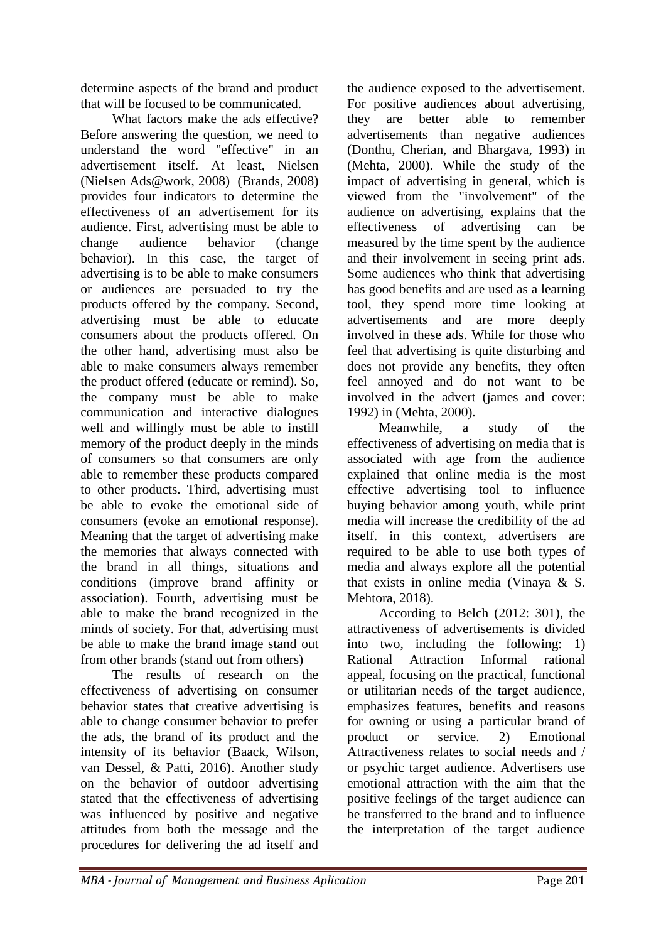determine aspects of the brand and product that will be focused to be communicated.

What factors make the ads effective? Before answering the question, we need to understand the word "effective" in an advertisement itself. At least, Nielsen (Nielsen Ads@work, 2008) (Brands, 2008) provides four indicators to determine the effectiveness of an advertisement for its audience. First, advertising must be able to change audience behavior (change behavior). In this case, the target of advertising is to be able to make consumers or audiences are persuaded to try the products offered by the company. Second, advertising must be able to educate consumers about the products offered. On the other hand, advertising must also be able to make consumers always remember the product offered (educate or remind). So, the company must be able to make communication and interactive dialogues well and willingly must be able to instill memory of the product deeply in the minds of consumers so that consumers are only able to remember these products compared to other products. Third, advertising must be able to evoke the emotional side of consumers (evoke an emotional response). Meaning that the target of advertising make the memories that always connected with the brand in all things, situations and conditions (improve brand affinity or association). Fourth, advertising must be able to make the brand recognized in the minds of society. For that, advertising must be able to make the brand image stand out from other brands (stand out from others)

The results of research on the effectiveness of advertising on consumer behavior states that creative advertising is able to change consumer behavior to prefer the ads, the brand of its product and the intensity of its behavior (Baack, Wilson, van Dessel, & Patti, 2016). Another study on the behavior of outdoor advertising stated that the effectiveness of advertising was influenced by positive and negative attitudes from both the message and the procedures for delivering the ad itself and

the audience exposed to the advertisement. For positive audiences about advertising, they are better able to remember advertisements than negative audiences (Donthu, Cherian, and Bhargava, 1993) in (Mehta, 2000). While the study of the impact of advertising in general, which is viewed from the "involvement" of the audience on advertising, explains that the effectiveness of advertising can be measured by the time spent by the audience and their involvement in seeing print ads. Some audiences who think that advertising has good benefits and are used as a learning tool, they spend more time looking at advertisements and are more deeply involved in these ads. While for those who feel that advertising is quite disturbing and does not provide any benefits, they often feel annoyed and do not want to be involved in the advert (james and cover: 1992) in (Mehta, 2000).

Meanwhile, a study of the effectiveness of advertising on media that is associated with age from the audience explained that online media is the most effective advertising tool to influence buying behavior among youth, while print media will increase the credibility of the ad itself. in this context, advertisers are required to be able to use both types of media and always explore all the potential that exists in online media (Vinaya & S. Mehtora, 2018).

According to Belch (2012: 301), the attractiveness of advertisements is divided into two, including the following: 1) Rational Attraction Informal rational appeal, focusing on the practical, functional or utilitarian needs of the target audience, emphasizes features, benefits and reasons for owning or using a particular brand of product or service. 2) Emotional Attractiveness relates to social needs and / or psychic target audience. Advertisers use emotional attraction with the aim that the positive feelings of the target audience can be transferred to the brand and to influence the interpretation of the target audience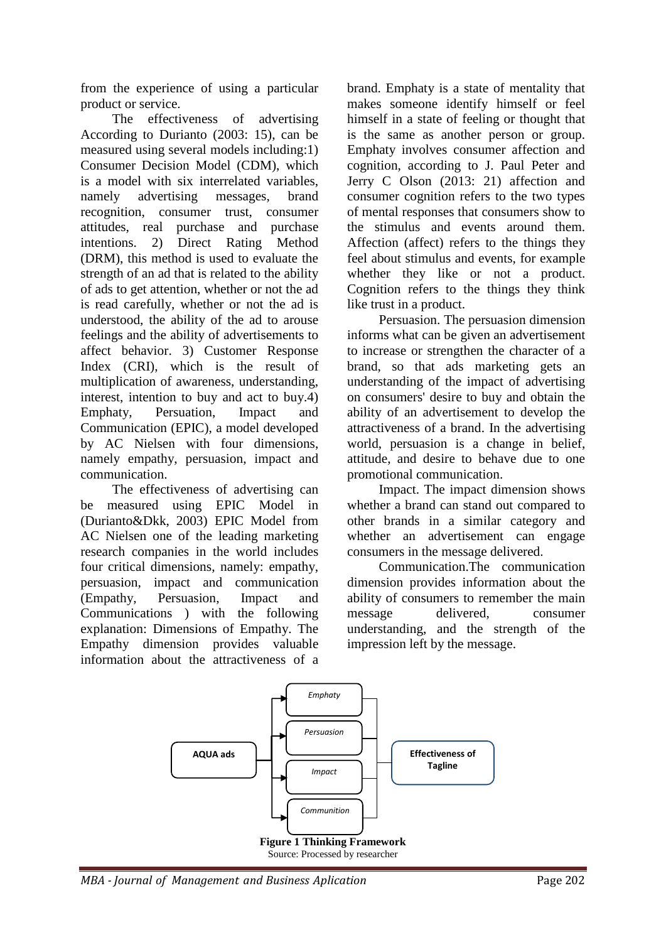from the experience of using a particular product or service.

The effectiveness of advertising According to Durianto (2003: 15), can be measured using several models including:1) Consumer Decision Model (CDM), which is a model with six interrelated variables, namely advertising messages, brand recognition, consumer trust, consumer attitudes, real purchase and purchase intentions. 2) Direct Rating Method (DRM), this method is used to evaluate the strength of an ad that is related to the ability of ads to get attention, whether or not the ad is read carefully, whether or not the ad is understood, the ability of the ad to arouse feelings and the ability of advertisements to affect behavior. 3) Customer Response Index (CRI), which is the result of multiplication of awareness, understanding, interest, intention to buy and act to buy.4) Emphaty, Persuation, Impact and Communication (EPIC), a model developed by AC Nielsen with four dimensions, namely empathy, persuasion, impact and communication.

The effectiveness of advertising can be measured using EPIC Model in (Durianto&Dkk, 2003) EPIC Model from AC Nielsen one of the leading marketing research companies in the world includes four critical dimensions, namely: empathy, persuasion, impact and communication (Empathy, Persuasion, Impact and Communications ) with the following explanation: Dimensions of Empathy. The Empathy dimension provides valuable information about the attractiveness of a brand. Emphaty is a state of mentality that makes someone identify himself or feel himself in a state of feeling or thought that is the same as another person or group. Emphaty involves consumer affection and cognition, according to J. Paul Peter and Jerry C Olson (2013: 21) affection and consumer cognition refers to the two types of mental responses that consumers show to the stimulus and events around them. Affection (affect) refers to the things they feel about stimulus and events, for example whether they like or not a product. Cognition refers to the things they think like trust in a product.

Persuasion. The persuasion dimension informs what can be given an advertisement to increase or strengthen the character of a brand, so that ads marketing gets an understanding of the impact of advertising on consumers' desire to buy and obtain the ability of an advertisement to develop the attractiveness of a brand. In the advertising world, persuasion is a change in belief, attitude, and desire to behave due to one promotional communication.

Impact. The impact dimension shows whether a brand can stand out compared to other brands in a similar category and whether an advertisement can engage consumers in the message delivered.

Communication.The communication dimension provides information about the ability of consumers to remember the main message delivered, consumer understanding, and the strength of the impression left by the message.



*MBA - Journal of Management and Business Aplication* Page 202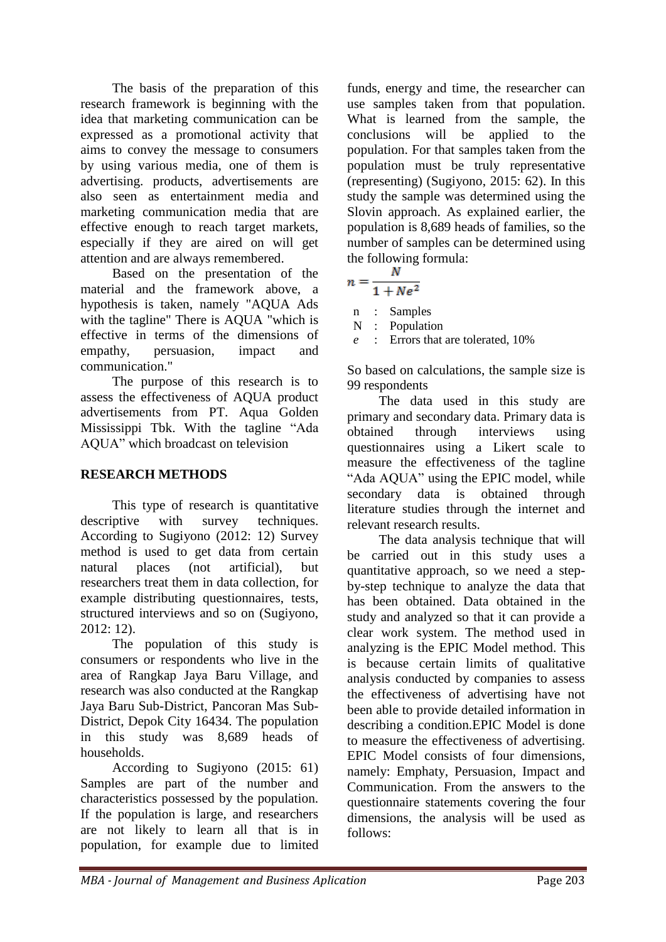The basis of the preparation of this research framework is beginning with the idea that marketing communication can be expressed as a promotional activity that aims to convey the message to consumers by using various media, one of them is advertising. products, advertisements are also seen as entertainment media and marketing communication media that are effective enough to reach target markets, especially if they are aired on will get attention and are always remembered.

Based on the presentation of the material and the framework above, a hypothesis is taken, namely "AQUA Ads with the tagline" There is AQUA "which is effective in terms of the dimensions of empathy, persuasion, impact and communication."

The purpose of this research is to assess the effectiveness of AQUA product advertisements from PT. Aqua Golden Mississippi Tbk. With the tagline "Ada AQUA" which broadcast on television

# **RESEARCH METHODS**

This type of research is quantitative descriptive with survey techniques. According to Sugiyono (2012: 12) Survey method is used to get data from certain natural places (not artificial), but researchers treat them in data collection, for example distributing questionnaires, tests, structured interviews and so on (Sugiyono, 2012: 12).

The population of this study is consumers or respondents who live in the area of Rangkap Jaya Baru Village, and research was also conducted at the Rangkap Jaya Baru Sub-District, Pancoran Mas Sub-District, Depok City 16434. The population in this study was 8,689 heads of households.

According to Sugiyono (2015: 61) Samples are part of the number and characteristics possessed by the population. If the population is large, and researchers are not likely to learn all that is in population, for example due to limited funds, energy and time, the researcher can use samples taken from that population. What is learned from the sample, the conclusions will be applied to the population. For that samples taken from the population must be truly representative (representing) (Sugiyono, 2015: 62). In this study the sample was determined using the Slovin approach. As explained earlier, the population is 8,689 heads of families, so the number of samples can be determined using the following formula:

$$
n=\frac{N}{1+Ne^2}
$$

n : Samples

N : Population

*e* : Errors that are tolerated, 10%

So based on calculations, the sample size is 99 respondents

The data used in this study are primary and secondary data. Primary data is obtained through interviews using questionnaires using a Likert scale to measure the effectiveness of the tagline "Ada AQUA" using the EPIC model, while secondary data is obtained through literature studies through the internet and relevant research results.

The data analysis technique that will be carried out in this study uses a quantitative approach, so we need a stepby-step technique to analyze the data that has been obtained. Data obtained in the study and analyzed so that it can provide a clear work system. The method used in analyzing is the EPIC Model method. This is because certain limits of qualitative analysis conducted by companies to assess the effectiveness of advertising have not been able to provide detailed information in describing a condition.EPIC Model is done to measure the effectiveness of advertising. EPIC Model consists of four dimensions, namely: Emphaty, Persuasion, Impact and Communication. From the answers to the questionnaire statements covering the four dimensions, the analysis will be used as follows: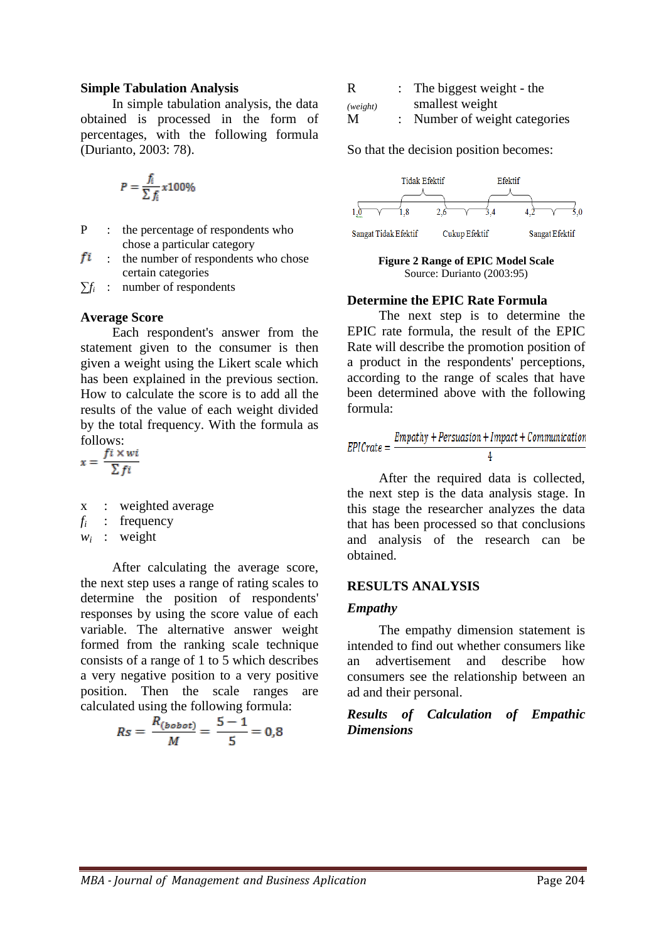#### **Simple Tabulation Analysis**

In simple tabulation analysis, the data obtained is processed in the form of percentages, with the following formula (Durianto, 2003: 78).

$$
P = \frac{f_i}{\sum f_i} x 100\%
$$

- P : the percentage of respondents who chose a particular category
- $f_i$  : the number of respondents who chose certain categories

 $\sum f_i$  : number of respondents

#### **Average Score**

Each respondent's answer from the statement given to the consumer is then given a weight using the Likert scale which has been explained in the previous section. How to calculate the score is to add all the results of the value of each weight divided by the total frequency. With the formula as follows:

$$
x = \frac{f i \times wi}{\sum f i}
$$

x : weighted average

 $f_i$  : frequency

 $w_i$  : weight

After calculating the average score, the next step uses a range of rating scales to determine the position of respondents' responses by using the score value of each variable. The alternative answer weight formed from the ranking scale technique consists of a range of 1 to 5 which describes a very negative position to a very positive position. Then the scale ranges are calculated using the following formula:

$$
Rs = \frac{R_{(bobot)}}{M} = \frac{5-1}{5} = 0.8
$$

| R        | : The biggest weight - the    |
|----------|-------------------------------|
| (weight) | smallest weight               |
| M        | : Number of weight categories |

So that the decision position becomes:

| <b>Tidak Efektif</b> |               | Efektif |                |  |
|----------------------|---------------|---------|----------------|--|
|                      |               |         |                |  |
| 1.8                  |               |         |                |  |
| Sangat Tidak Efektif | Cukup Efektif |         | Sangat Efektif |  |

**Figure 2 Range of EPIC Model Scale** Source: Durianto (2003:95)

### **Determine the EPIC Rate Formula**

The next step is to determine the EPIC rate formula, the result of the EPIC Rate will describe the promotion position of a product in the respondents' perceptions, according to the range of scales that have been determined above with the following formula:

$$
EPICrate = \frac{Empathy + Persuasion + Impact + Communication}{4}
$$

After the required data is collected, the next step is the data analysis stage. In this stage the researcher analyzes the data that has been processed so that conclusions and analysis of the research can be obtained.

### **RESULTS ANALYSIS**

#### *Empathy*

The empathy dimension statement is intended to find out whether consumers like an advertisement and describe how consumers see the relationship between an ad and their personal.

## *Results of Calculation of Empathic Dimensions*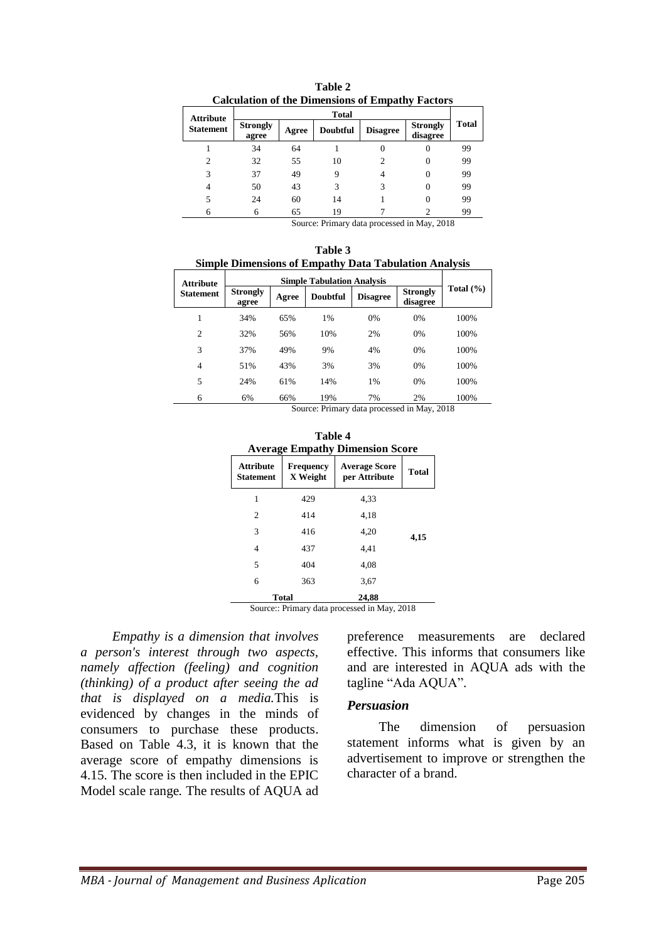|                  | Calculation of the Dimensions of Empathy Factors |              |                      |                 |                             |       |  |
|------------------|--------------------------------------------------|--------------|----------------------|-----------------|-----------------------------|-------|--|
| <b>Attribute</b> |                                                  |              | Total                |                 |                             |       |  |
| <b>Statement</b> | <b>Strongly</b><br>agree                         | Agree        | <b>Doubtful</b>      | <b>Disagree</b> | <b>Strongly</b><br>disagree | Total |  |
|                  | 34                                               | 64           |                      |                 |                             | 99    |  |
| 2                | 32                                               | 55           | 10                   | 2               |                             | 99    |  |
| 3                | 37                                               | 49           | 9                    |                 |                             | 99    |  |
| 4                | 50                                               | 43           | 3                    | 3               |                             | 99    |  |
| 5                | 24                                               | 60           | 14                   |                 |                             | 99    |  |
| 6                | 6                                                | 65<br>$\sim$ | 19<br>$\sim$ $\cdot$ | $\blacksquare$  | .<br>$\sim$ $\sim$          | 99    |  |

**Table 2 Calculation of the Dimensions of Empathy Factors**

| Table 3                                                      |  |  |  |  |  |
|--------------------------------------------------------------|--|--|--|--|--|
| <b>Simple Dimensions of Empathy Data Tabulation Analysis</b> |  |  |  |  |  |

| <b>Attribute</b> |                          |       |                                                  |                 |                             |               |
|------------------|--------------------------|-------|--------------------------------------------------|-----------------|-----------------------------|---------------|
| <b>Statement</b> | <b>Strongly</b><br>agree | Agree | <b>Doubtful</b>                                  | <b>Disagree</b> | <b>Strongly</b><br>disagree | Total $(\% )$ |
| 1                | 34%                      | 65%   | 1%                                               | 0%              | 0%                          | 100%          |
| $\overline{2}$   | 32%                      | 56%   | 10%                                              | 2%              | 0%                          | 100%          |
| 3                | 37%                      | 49%   | 9%                                               | 4%              | 0%                          | 100%          |
| 4                | 51%                      | 43%   | 3%                                               | 3%              | 0%                          | 100%          |
| 5                | 24%                      | 61%   | 14%                                              | 1%              | 0%                          | 100%          |
| 6                | 6%                       | 66%   | 19%<br>Course Drimow, data nucessaed in May 2019 | 7%              | 2%                          | 100%          |

Source: Primary data processed in May, 2018

| Table 4<br><b>Average Empathy Dimension Score</b> |                              |                                       |       |  |  |  |
|---------------------------------------------------|------------------------------|---------------------------------------|-------|--|--|--|
| <b>Attribute</b><br><b>Statement</b>              | <b>Frequency</b><br>X Weight | <b>Average Score</b><br>per Attribute | Total |  |  |  |
| 1                                                 | 429                          | 4.33                                  |       |  |  |  |
| $\overline{c}$                                    | 414                          | 4,18                                  |       |  |  |  |
| 3                                                 | 416                          | 4,20                                  | 4,15  |  |  |  |
| 4                                                 | 437                          | 4.41                                  |       |  |  |  |
| 5                                                 | 404                          | 4,08                                  |       |  |  |  |
| 6                                                 | 363                          | 3,67                                  |       |  |  |  |
|                                                   | <b>Total</b>                 | 24,88                                 |       |  |  |  |

Source:: Primary data processed in May, 2018

*Empathy is a dimension that involves a person's interest through two aspects, namely affection (feeling) and cognition (thinking) of a product after seeing the ad that is displayed on a media.*This is evidenced by changes in the minds of consumers to purchase these products. Based on Table 4.3, it is known that the average score of empathy dimensions is 4.15. The score is then included in the EPIC Model scale range*.* The results of AQUA ad

preference measurements are declared effective. This informs that consumers like and are interested in AQUA ads with the tagline "Ada AQUA".

## *Persuasion*

The dimension of persuasion statement informs what is given by an advertisement to improve or strengthen the character of a brand.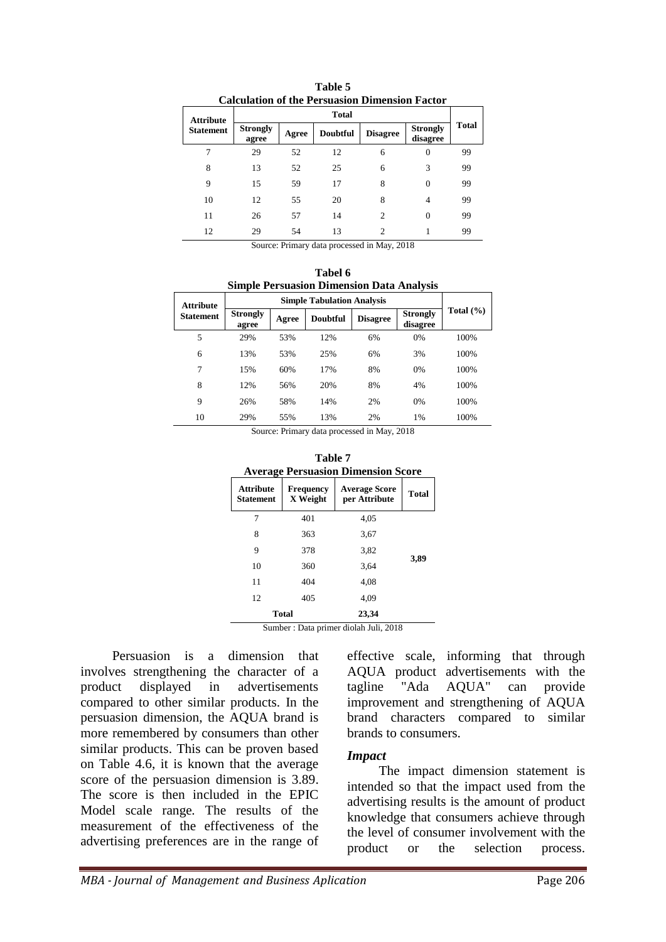| Calculation of the Persuasion Dimension Factor |                          |              |                 |                 |                             |          |    |
|------------------------------------------------|--------------------------|--------------|-----------------|-----------------|-----------------------------|----------|----|
|                                                | <b>Attribute</b>         | <b>Total</b> |                 |                 |                             |          |    |
| <b>Statement</b>                               | <b>Strongly</b><br>agree | Agree        | <b>Doubtful</b> | <b>Disagree</b> | <b>Strongly</b><br>disagree | Total    |    |
|                                                | 7                        | 29           | 52              | 12              | 6                           | $\Omega$ | 99 |
|                                                | 8                        | 13           | 52              | 25              | 6                           | 3        | 99 |
|                                                | 9                        | 15           | 59              | 17              | 8                           | $\theta$ | 99 |
|                                                | 10                       | 12           | 55              | 20              | 8                           | 4        | 99 |
|                                                | 11                       | 26           | 57              | 14              | $\overline{c}$              | $\Omega$ | 99 |
|                                                | 12                       | 29           | 54              | 13              | 2                           |          | 99 |

**Table 5 Calculation of the Persuasion Dimension Factor**

|     |  | Tabel 6<br><b>Simple Persuasion Dimension Data Analysis</b> |  |  |
|-----|--|-------------------------------------------------------------|--|--|
| ıte |  | <b>Simple Tabulation Analysis</b>                           |  |  |
|     |  |                                                             |  |  |

| <b>Attribute</b> |                          |       |                 |                 |                             |               |
|------------------|--------------------------|-------|-----------------|-----------------|-----------------------------|---------------|
| <b>Statement</b> | <b>Strongly</b><br>agree | Agree | <b>Doubtful</b> | <b>Disagree</b> | <b>Strongly</b><br>disagree | Total $(\% )$ |
| 5                | 29%                      | 53%   | 12%             | 6%              | 0%                          | 100%          |
| 6                | 13%                      | 53%   | 25%             | 6%              | 3%                          | 100%          |
| 7                | 15%                      | 60%   | 17%             | 8%              | 0%                          | 100%          |
| 8                | 12%                      | 56%   | 20%             | 8%              | 4%                          | 100%          |
| 9                | 26%                      | 58%   | 14%             | 2%              | 0%                          | 100%          |
| 10               | 29%                      | 55%   | 13%             | 2%              | 1%                          | 100%          |

Source: Primary data processed in May, 2018

| Table 7<br><b>Average Persuasion Dimension Score</b> |                              |                                       |              |  |  |  |
|------------------------------------------------------|------------------------------|---------------------------------------|--------------|--|--|--|
| <b>Attribute</b><br><b>Statement</b>                 | <b>Frequency</b><br>X Weight | <b>Average Score</b><br>per Attribute | <b>Total</b> |  |  |  |
| 7                                                    | 401                          | 4.05                                  |              |  |  |  |
| 8                                                    | 363                          | 3,67                                  |              |  |  |  |
| 9                                                    | 378                          | 3,82                                  |              |  |  |  |
| 10                                                   | 360                          | 3.64                                  | 3,89         |  |  |  |
| 11                                                   | 404                          | 4.08                                  |              |  |  |  |
| 12                                                   | 405                          | 4,09                                  |              |  |  |  |
|                                                      | <b>Total</b>                 | 23,34                                 |              |  |  |  |

Sumber : Data primer diolah Juli, 2018

Persuasion is a dimension that involves strengthening the character of a product displayed in advertisements compared to other similar products. In the persuasion dimension, the AQUA brand is more remembered by consumers than other similar products. This can be proven based on Table 4.6, it is known that the average score of the persuasion dimension is 3.89. The score is then included in the EPIC Model scale range*.* The results of the measurement of the effectiveness of the advertising preferences are in the range of

effective scale, informing that through AQUA product advertisements with the tagline "Ada AQUA" can provide improvement and strengthening of AQUA brand characters compared to similar brands to consumers.

#### *Impact*

The impact dimension statement is intended so that the impact used from the advertising results is the amount of product knowledge that consumers achieve through the level of consumer involvement with the product or the selection process.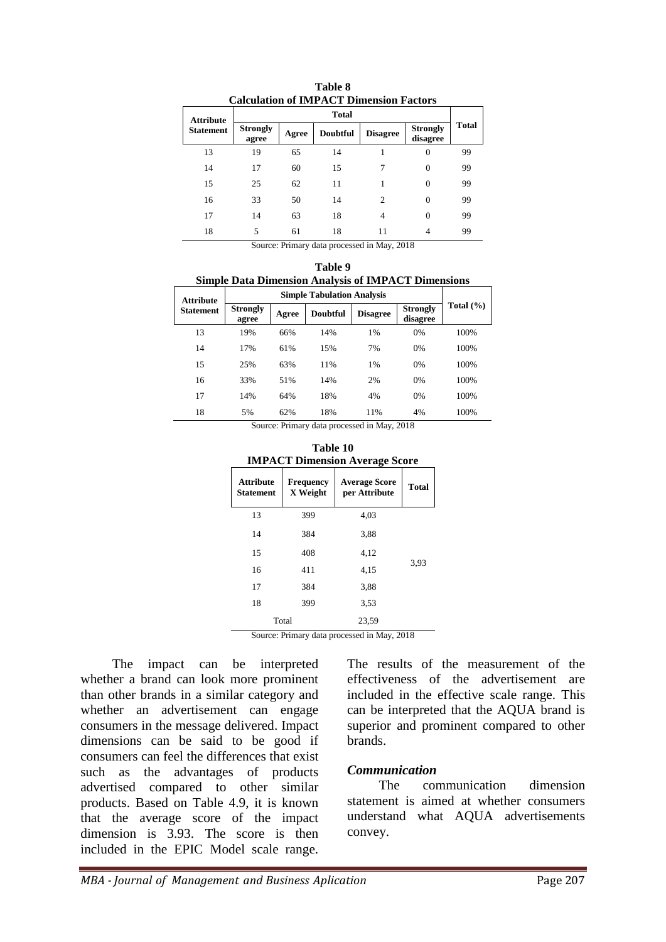|                  | Calculation of IMPACT Dimension Factors |       |                 |                 |                             |       |  |
|------------------|-----------------------------------------|-------|-----------------|-----------------|-----------------------------|-------|--|
| <b>Attribute</b> |                                         |       | <b>Total</b>    |                 |                             |       |  |
| <b>Statement</b> | <b>Strongly</b><br>agree                | Agree | <b>Doubtful</b> | <b>Disagree</b> | <b>Strongly</b><br>disagree | Total |  |
| 13               | 19                                      | 65    | 14              |                 | 0                           | 99    |  |
| 14               | 17                                      | 60    | 15              | 7               | 0                           | 99    |  |
| 15               | 25                                      | 62    | 11              |                 | $\Omega$                    | 99    |  |
| 16               | 33                                      | 50    | 14              | $\overline{c}$  | 0                           | 99    |  |
| 17               | 14                                      | 63    | 18              | 4               | 0                           | 99    |  |
| 18               | 5                                       | 61    | 18              | 11              | 4                           | 99    |  |

**Table 8 Calculation of IMPACT Dimension Factors**

|                                                            | Table 9 |  |
|------------------------------------------------------------|---------|--|
| <b>Simple Data Dimension Analysis of IMPACT Dimensions</b> |         |  |

| <b>Attribute</b> |                          |       | <b>Simple Tabulation Analysis</b> |                 |                             |               |
|------------------|--------------------------|-------|-----------------------------------|-----------------|-----------------------------|---------------|
| <b>Statement</b> | <b>Strongly</b><br>agree | Agree | <b>Doubtful</b>                   | <b>Disagree</b> | <b>Strongly</b><br>disagree | Total $(\% )$ |
| 13               | 19%                      | 66%   | 14%                               | 1%              | 0%                          | 100%          |
| 14               | 17%                      | 61%   | 15%                               | 7%              | 0%                          | 100%          |
| 15               | 25%                      | 63%   | 11%                               | 1%              | 0%                          | 100%          |
| 16               | 33%                      | 51%   | 14%                               | 2%              | 0%                          | 100%          |
| 17               | 14%                      | 64%   | 18%                               | 4%              | 0%                          | 100%          |
| 18               | 5%                       | 62%   | 18%                               | 11%             | 4%                          | 100%          |

Source: Primary data processed in May, 2018

| Table 10                              |
|---------------------------------------|
| <b>IMPACT Dimension Average Score</b> |

|                                      |                       | - 0                                   |              |
|--------------------------------------|-----------------------|---------------------------------------|--------------|
| <b>Attribute</b><br><b>Statement</b> | Frequency<br>X Weight | <b>Average Score</b><br>per Attribute | <b>Total</b> |
| 13                                   | 399                   | 4,03                                  |              |
| 14                                   | 384                   | 3,88                                  |              |
| 15                                   | 408                   | 4,12                                  |              |
| 16                                   | 411                   | 4,15                                  | 3,93         |
| 17                                   | 384                   | 3,88                                  |              |
| 18                                   | 399                   | 3.53                                  |              |
|                                      | Total                 | 23,59                                 |              |

Source: Primary data processed in May, 2018

The impact can be interpreted whether a brand can look more prominent than other brands in a similar category and whether an advertisement can engage consumers in the message delivered. Impact dimensions can be said to be good if consumers can feel the differences that exist such as the advantages of products advertised compared to other similar products. Based on Table 4.9, it is known that the average score of the impact dimension is 3.93. The score is then included in the EPIC Model scale range*.* 

The results of the measurement of the effectiveness of the advertisement are included in the effective scale range. This can be interpreted that the AQUA brand is superior and prominent compared to other brands.

#### *Communication*

The communication dimension statement is aimed at whether consumers understand what AQUA advertisements convey.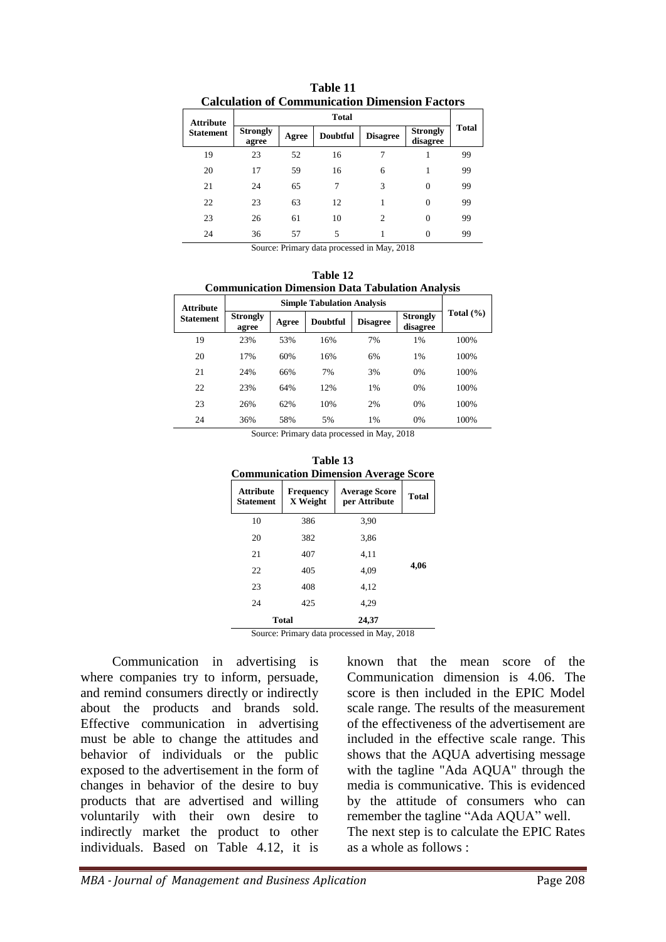|                  |                          |       | Сакинноп от Сопинипсаноп Бинспярн і аского |                 |                             |              |
|------------------|--------------------------|-------|--------------------------------------------|-----------------|-----------------------------|--------------|
| <b>Attribute</b> | <b>Total</b>             |       |                                            |                 |                             |              |
| <b>Statement</b> | <b>Strongly</b><br>agree | Agree | <b>Doubtful</b>                            | <b>Disagree</b> | <b>Strongly</b><br>disagree | <b>Total</b> |
| 19               | 23                       | 52    | 16                                         | 7               |                             | 99           |
| 20               | 17                       | 59    | 16                                         | 6               |                             | 99           |
| 21               | 24                       | 65    | 7                                          | 3               | $\Omega$                    | 99           |
| 22               | 23                       | 63    | 12                                         | 1               | $\Omega$                    | 99           |
| 23               | 26                       | 61    | 10                                         | $\overline{c}$  | $\Omega$                    | 99           |
| 24               | 36                       | 57    | 5                                          |                 | $\Omega$                    | 99           |
|                  | -                        | - -   | . .                                        | .               | ----                        |              |

**Table 11 Calculation of Communication Dimension Factors**

**Table 12 Communication Dimension Data Tabulation Analysis**

| <b>Attribute</b> |                          |       | <b>Simple Tabulation Analysis</b> |                 |                             |               |
|------------------|--------------------------|-------|-----------------------------------|-----------------|-----------------------------|---------------|
| <b>Statement</b> | <b>Strongly</b><br>agree | Agree | <b>Doubtful</b>                   | <b>Disagree</b> | <b>Strongly</b><br>disagree | Total $(\% )$ |
| 19               | 23%                      | 53%   | 16%                               | 7%              | 1%                          | 100%          |
| 20               | 17%                      | 60%   | 16%                               | 6%              | 1%                          | 100%          |
| 21               | 24%                      | 66%   | 7%                                | 3%              | 0%                          | 100%          |
| 22               | 23%                      | 64%   | 12%                               | 1%              | 0%                          | 100%          |
| 23               | 26%                      | 62%   | 10%                               | 2%              | 0%                          | 100%          |
| 24               | 36%                      | 58%   | 5%                                | 1%              | 0%                          | 100%          |

Source: Primary data processed in May, 2018

| Table 13<br><b>Communication Dimension Average Score</b> |                              |                                                    |              |  |  |  |
|----------------------------------------------------------|------------------------------|----------------------------------------------------|--------------|--|--|--|
| <b>Attribute</b><br>Statement                            | <b>Frequency</b><br>X Weight | <b>Average Score</b><br>per Attribute              | <b>Total</b> |  |  |  |
| 10                                                       | 386                          | 3,90                                               |              |  |  |  |
| 20                                                       | 382                          | 3,86                                               |              |  |  |  |
| 21                                                       | 407                          | 4,11                                               |              |  |  |  |
| 22                                                       | 405                          | 4.09                                               | 4,06         |  |  |  |
| 23                                                       | 408                          | 4,12                                               |              |  |  |  |
| 24                                                       | 425                          | 4,29                                               |              |  |  |  |
|                                                          | <b>Total</b>                 | 24,37<br>Course Drimow, data necessarily Mov. 2019 |              |  |  |  |

Source: Primary data processed in May, 2018

Communication in advertising is where companies try to inform, persuade, and remind consumers directly or indirectly about the products and brands sold. Effective communication in advertising must be able to change the attitudes and behavior of individuals or the public exposed to the advertisement in the form of changes in behavior of the desire to buy products that are advertised and willing voluntarily with their own desire to indirectly market the product to other individuals. Based on Table 4.12, it is

known that the mean score of the Communication dimension is 4.06. The score is then included in the EPIC Model scale range*.* The results of the measurement of the effectiveness of the advertisement are included in the effective scale range. This shows that the AQUA advertising message with the tagline "Ada AQUA" through the media is communicative. This is evidenced by the attitude of consumers who can remember the tagline "Ada AQUA" well. The next step is to calculate the EPIC Rates as a whole as follows :